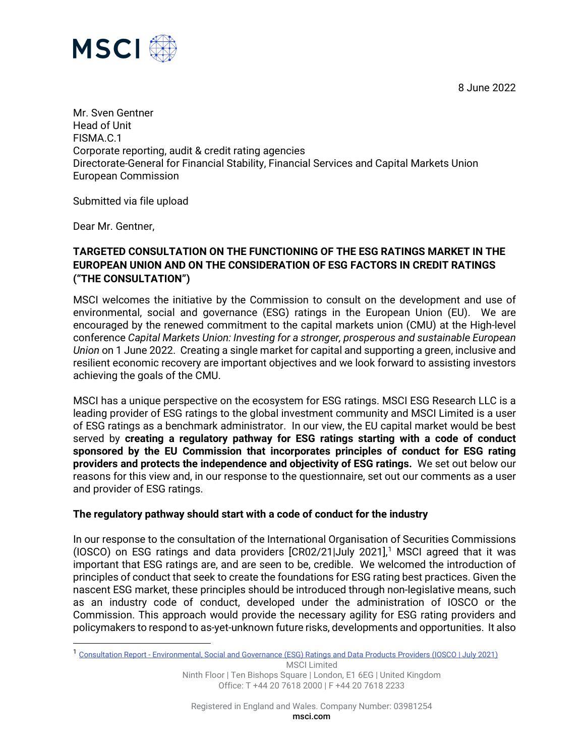8 June 2022



Mr. Sven Gentner Head of Unit FISMA.C.1 Corporate reporting, audit & credit rating agencies Directorate-General for Financial Stability, Financial Services and Capital Markets Union European Commission

Submitted via file upload

Dear Mr. Gentner,

### **TARGETED CONSULTATION ON THE FUNCTIONING OF THE ESG RATINGS MARKET IN THE EUROPEAN UNION AND ON THE CONSIDERATION OF ESG FACTORS IN CREDIT RATINGS ("THE CONSULTATION")**

MSCI welcomes the initiative by the Commission to consult on the development and use of environmental, social and governance (ESG) ratings in the European Union (EU). We are encouraged by the renewed commitment to the capital markets union (CMU) at the High-level conference *Capital Markets Union: Investing for a stronger, prosperous and sustainable European Union* on 1 June 2022. Creating a single market for capital and supporting a green, inclusive and resilient economic recovery are important objectives and we look forward to assisting investors achieving the goals of the CMU.

MSCI has a unique perspective on the ecosystem for ESG ratings. MSCI ESG Research LLC is a leading provider of ESG ratings to the global investment community and MSCI Limited is a user of ESG ratings as a benchmark administrator. In our view, the EU capital market would be best served by **creating a regulatory pathway for ESG ratings starting with a code of conduct sponsored by the EU Commission that incorporates principles of conduct for ESG rating providers and protects the independence and objectivity of ESG ratings.** We set out below our reasons for this view and, in our response to the questionnaire, set out our comments as a user and provider of ESG ratings.

#### **The regulatory pathway should start with a code of conduct for the industry**

In our response to the consultation of the International Organisation of Securities Commissions (IOSCO) on ESG ratings and data providers  $[CR02/21]$  $[CR02/21]$  $[CR02/21]$ July 2021],<sup>1</sup> MSCI agreed that it was important that ESG ratings are, and are seen to be, credible. We welcomed the introduction of principles of conduct that seek to create the foundations for ESG rating best practices. Given the nascent ESG market, these principles should be introduced through non-legislative means, such as an industry code of conduct, developed under the administration of IOSCO or the Commission. This approach would provide the necessary agility for ESG rating providers and policymakers to respond to as-yet-unknown future risks, developments and opportunities. It also

<span id="page-0-0"></span><sup>1</sup> Consultation Report - [Environmental, Social and Governance \(ESG\) Ratings and Data Products Providers \(IOSCO | July 2021\)](https://www.iosco.org/library/pubdocs/pdf/IOSCOPD681.pdf)

MSCI Limited Ninth Floor | Ten Bishops Square | London, E1 6EG | United Kingdom Office: T +44 20 7618 2000 | F +44 20 7618 2233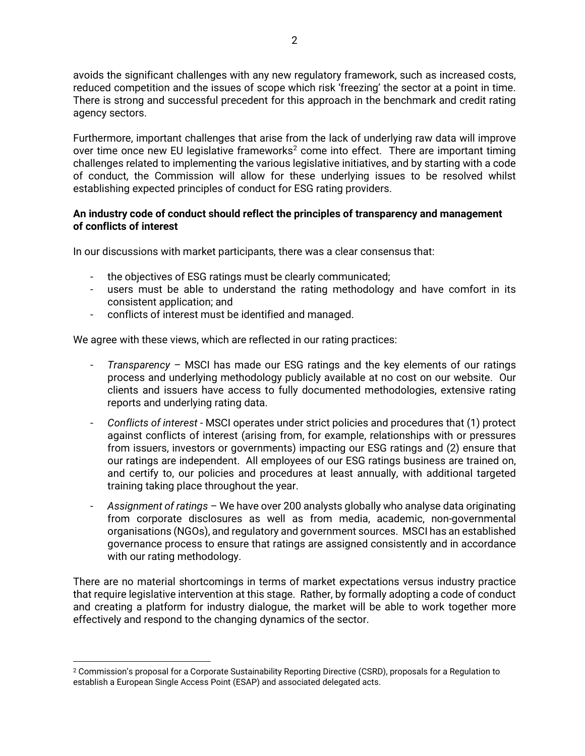avoids the significant challenges with any new regulatory framework, such as increased costs, reduced competition and the issues of scope which risk 'freezing' the sector at a point in time. There is strong and successful precedent for this approach in the benchmark and credit rating agency sectors.

Furthermore, important challenges that arise from the lack of underlying raw data will improve over time once new EU legislative frameworks<sup>[2](#page-1-0)</sup> come into effect. There are important timing challenges related to implementing the various legislative initiatives, and by starting with a code of conduct, the Commission will allow for these underlying issues to be resolved whilst establishing expected principles of conduct for ESG rating providers.

#### **An industry code of conduct should reflect the principles of transparency and management of conflicts of interest**

In our discussions with market participants, there was a clear consensus that:

- the objectives of ESG ratings must be clearly communicated;
- users must be able to understand the rating methodology and have comfort in its consistent application; and
- conflicts of interest must be identified and managed.

We agree with these views, which are reflected in our rating practices:

- *Transparency*  MSCI has made our ESG ratings and the key elements of our ratings process and underlying methodology publicly available at no cost on our website. Our clients and issuers have access to fully documented methodologies, extensive rating reports and underlying rating data.
- *Conflicts of interest*  MSCI operates under strict policies and procedures that (1) protect against conflicts of interest (arising from, for example, relationships with or pressures from issuers, investors or governments) impacting our ESG ratings and (2) ensure that our ratings are independent. All employees of our ESG ratings business are trained on, and certify to, our policies and procedures at least annually, with additional targeted training taking place throughout the year.
- *Assignment of ratings*  We have over 200 analysts globally who analyse data originating from corporate disclosures as well as from media, academic, non-governmental organisations (NGOs), and regulatory and government sources. MSCI has an established governance process to ensure that ratings are assigned consistently and in accordance with our rating methodology.

There are no material shortcomings in terms of market expectations versus industry practice that require legislative intervention at this stage. Rather, by formally adopting a code of conduct and creating a platform for industry dialogue, the market will be able to work together more effectively and respond to the changing dynamics of the sector.

<span id="page-1-0"></span><sup>2</sup> Commission's proposal for a Corporate Sustainability Reporting Directive (CSRD), proposals for a Regulation to establish a European Single Access Point (ESAP) and associated delegated acts.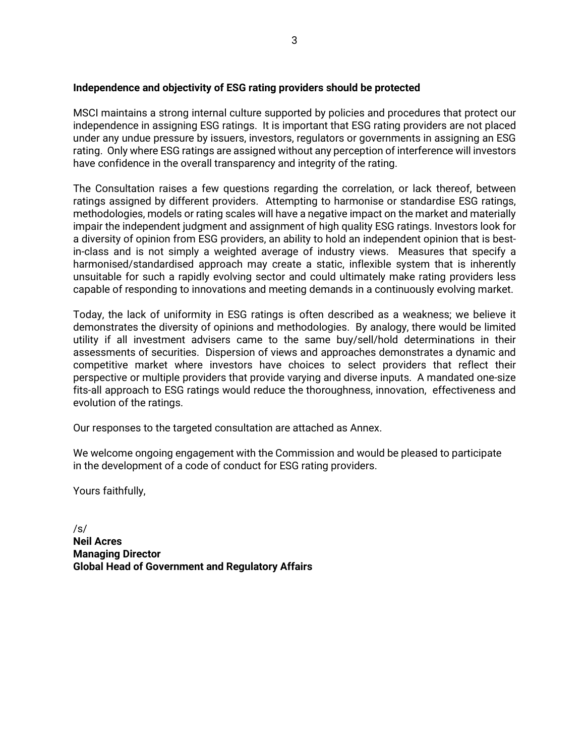#### **Independence and objectivity of ESG rating providers should be protected**

MSCI maintains a strong internal culture supported by policies and procedures that protect our independence in assigning ESG ratings. It is important that ESG rating providers are not placed under any undue pressure by issuers, investors, regulators or governments in assigning an ESG rating. Only where ESG ratings are assigned without any perception of interference will investors have confidence in the overall transparency and integrity of the rating.

The Consultation raises a few questions regarding the correlation, or lack thereof, between ratings assigned by different providers. Attempting to harmonise or standardise ESG ratings, methodologies, models or rating scales will have a negative impact on the market and materially impair the independent judgment and assignment of high quality ESG ratings. Investors look for a diversity of opinion from ESG providers, an ability to hold an independent opinion that is bestin-class and is not simply a weighted average of industry views. Measures that specify a harmonised/standardised approach may create a static, inflexible system that is inherently unsuitable for such a rapidly evolving sector and could ultimately make rating providers less capable of responding to innovations and meeting demands in a continuously evolving market.

Today, the lack of uniformity in ESG ratings is often described as a weakness; we believe it demonstrates the diversity of opinions and methodologies. By analogy, there would be limited utility if all investment advisers came to the same buy/sell/hold determinations in their assessments of securities. Dispersion of views and approaches demonstrates a dynamic and competitive market where investors have choices to select providers that reflect their perspective or multiple providers that provide varying and diverse inputs. A mandated one-size fits-all approach to ESG ratings would reduce the thoroughness, innovation, effectiveness and evolution of the ratings.

Our responses to the targeted consultation are attached as Annex.

We welcome ongoing engagement with the Commission and would be pleased to participate in the development of a code of conduct for ESG rating providers.

Yours faithfully,

/s/ **Neil Acres Managing Director Global Head of Government and Regulatory Affairs**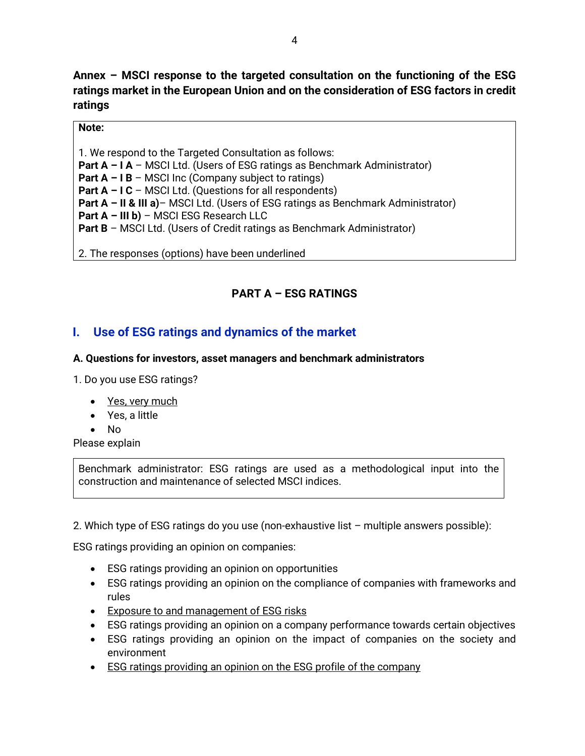**Annex – MSCI response to the targeted consultation on the functioning of the ESG ratings market in the European Union and on the consideration of ESG factors in credit ratings**

### **Note:**

1. We respond to the Targeted Consultation as follows: **Part A – I A** – MSCI Ltd. (Users of ESG ratings as Benchmark Administrator) **Part A – I B** – MSCI Inc (Company subject to ratings) **Part A – I C** – MSCI Ltd. (Questions for all respondents) **Part A – II & III a)**– MSCI Ltd. (Users of ESG ratings as Benchmark Administrator) **Part A – III b)** – MSCI ESG Research LLC **Part B** – MSCI Ltd. (Users of Credit ratings as Benchmark Administrator)

2. The responses (options) have been underlined

# **PART A – ESG RATINGS**

# **I. Use of ESG ratings and dynamics of the market**

### **A. Questions for investors, asset managers and benchmark administrators**

1. Do you use ESG ratings?

- Yes, very much
- Yes, a little
- No

Please explain

Benchmark administrator: ESG ratings are used as a methodological input into the construction and maintenance of selected MSCI indices.

2. Which type of ESG ratings do you use (non-exhaustive list – multiple answers possible):

ESG ratings providing an opinion on companies:

- ESG ratings providing an opinion on opportunities
- ESG ratings providing an opinion on the compliance of companies with frameworks and rules
- Exposure to and management of ESG risks
- ESG ratings providing an opinion on a company performance towards certain objectives
- ESG ratings providing an opinion on the impact of companies on the society and environment
- ESG ratings providing an opinion on the ESG profile of the company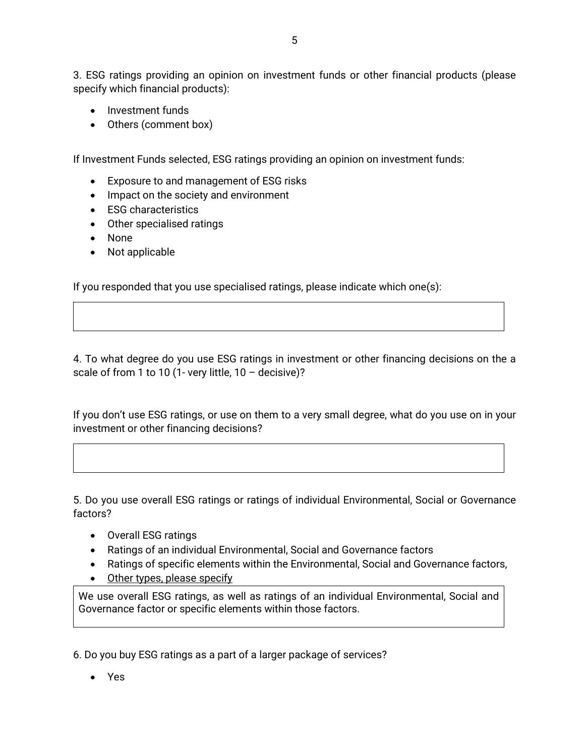3. ESG ratings providing an opinion on investment funds or other financial products (please specify which financial products):

- Investment funds
- Others (comment box)

If Investment Funds selected, ESG ratings providing an opinion on investment funds:

- Exposure to and management of ESG risks
- Impact on the society and environment
- ESG characteristics
- Other specialised ratings
- None
- Not applicable

If you responded that you use specialised ratings, please indicate which one(s):

4. To what degree do you use ESG ratings in investment or other financing decisions on the a scale of from 1 to 10 (1- very little,  $10 -$  decisive)?

If you don't use ESG ratings, or use on them to a very small degree, what do you use on in your investment or other financing decisions?

5. Do you use overall ESG ratings or ratings of individual Environmental, Social or Governance factors?

- Overall ESG ratings
- Ratings of an individual Environmental, Social and Governance factors
- Ratings of specific elements within the Environmental, Social and Governance factors,
- Other types, please specify

We use overall ESG ratings, as well as ratings of an individual Environmental, Social and Governance factor or specific elements within those factors.

6. Do you buy ESG ratings as a part of a larger package of services?

• Yes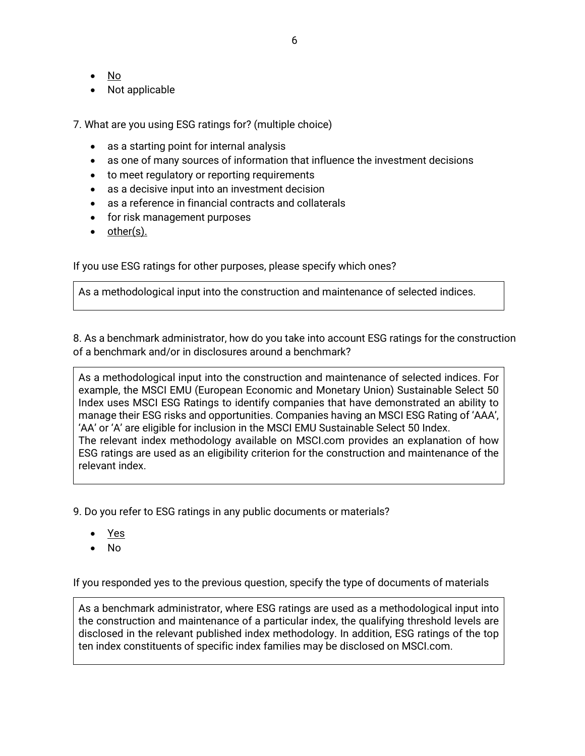- No
- Not applicable
- 7. What are you using ESG ratings for? (multiple choice)
	- as a starting point for internal analysis
	- as one of many sources of information that influence the investment decisions
	- to meet regulatory or reporting requirements
	- as a decisive input into an investment decision
	- as a reference in financial contracts and collaterals
	- for risk management purposes
	- other(s).

If you use ESG ratings for other purposes, please specify which ones?

As a methodological input into the construction and maintenance of selected indices.

8. As a benchmark administrator, how do you take into account ESG ratings for the construction of a benchmark and/or in disclosures around a benchmark?

As a methodological input into the construction and maintenance of selected indices. For example, the MSCI EMU (European Economic and Monetary Union) Sustainable Select 50 Index uses MSCI ESG Ratings to identify companies that have demonstrated an ability to manage their ESG risks and opportunities. Companies having an MSCI ESG Rating of 'AAA', 'AA' or 'A' are eligible for inclusion in the MSCI EMU Sustainable Select 50 Index. The relevant index methodology available on MSCI.com provides an explanation of how ESG ratings are used as an eligibility criterion for the construction and maintenance of the relevant index.

9. Do you refer to ESG ratings in any public documents or materials?

- Yes
- No

If you responded yes to the previous question, specify the type of documents of materials

As a benchmark administrator, where ESG ratings are used as a methodological input into the construction and maintenance of a particular index, the qualifying threshold levels are disclosed in the relevant published index methodology. In addition, ESG ratings of the top ten index constituents of specific index families may be disclosed on MSCI.com.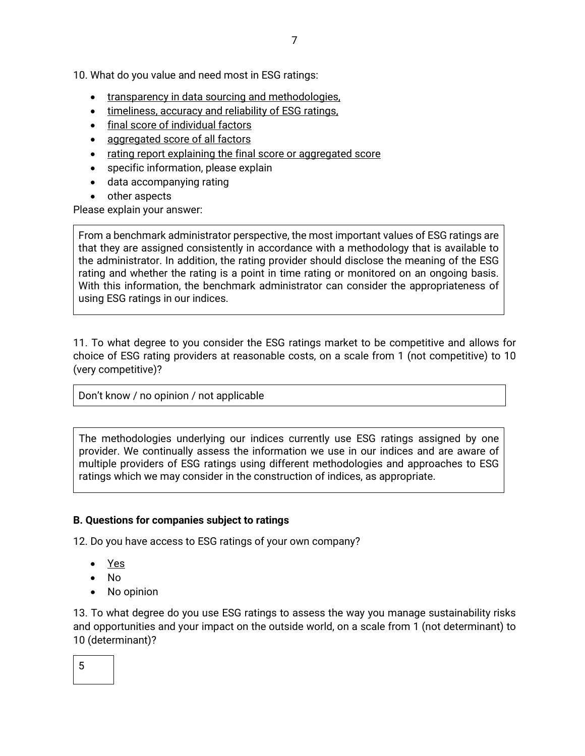10. What do you value and need most in ESG ratings:

- transparency in data sourcing and methodologies,
- timeliness, accuracy and reliability of ESG ratings,
- final score of individual factors
- aggregated score of all factors
- rating report explaining the final score or aggregated score
- specific information, please explain
- data accompanying rating
- other aspects

Please explain your answer:

From a benchmark administrator perspective, the most important values of ESG ratings are that they are assigned consistently in accordance with a methodology that is available to the administrator. In addition, the rating provider should disclose the meaning of the ESG rating and whether the rating is a point in time rating or monitored on an ongoing basis. With this information, the benchmark administrator can consider the appropriateness of using ESG ratings in our indices.

11. To what degree to you consider the ESG ratings market to be competitive and allows for choice of ESG rating providers at reasonable costs, on a scale from 1 (not competitive) to 10 (very competitive)?

Don't know / no opinion / not applicable

The methodologies underlying our indices currently use ESG ratings assigned by one provider. We continually assess the information we use in our indices and are aware of multiple providers of ESG ratings using different methodologies and approaches to ESG ratings which we may consider in the construction of indices, as appropriate.

## **B. Questions for companies subject to ratings**

12. Do you have access to ESG ratings of your own company?

- Yes
- No
- No opinion

13. To what degree do you use ESG ratings to assess the way you manage sustainability risks and opportunities and your impact on the outside world, on a scale from 1 (not determinant) to 10 (determinant)?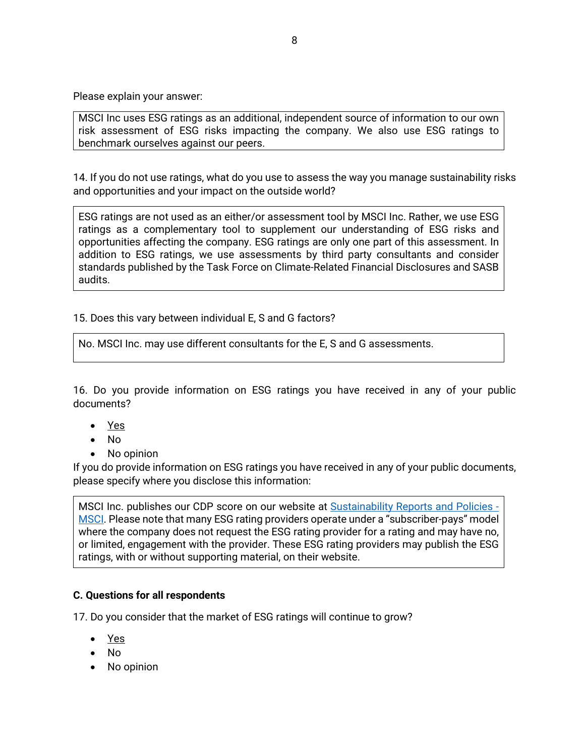Please explain your answer:

MSCI Inc uses ESG ratings as an additional, independent source of information to our own risk assessment of ESG risks impacting the company. We also use ESG ratings to benchmark ourselves against our peers.

14. If you do not use ratings, what do you use to assess the way you manage sustainability risks and opportunities and your impact on the outside world?

ESG ratings are not used as an either/or assessment tool by MSCI Inc. Rather, we use ESG ratings as a complementary tool to supplement our understanding of ESG risks and opportunities affecting the company. ESG ratings are only one part of this assessment. In addition to ESG ratings, we use assessments by third party consultants and consider standards published by the Task Force on Climate-Related Financial Disclosures and SASB audits.

15. Does this vary between individual E, S and G factors?

No. MSCI Inc. may use different consultants for the E, S and G assessments.

16. Do you provide information on ESG ratings you have received in any of your public documents?

- Yes
- No
- No opinion

If you do provide information on ESG ratings you have received in any of your public documents, please specify where you disclose this information:

MSCI Inc. publishes our CDP score on our website at [Sustainability Reports and Policies -](https://www.msci.com/who-we-are/corporate-responsibility/sustainability-reports-policies) [MSCI.](https://www.msci.com/who-we-are/corporate-responsibility/sustainability-reports-policies) Please note that many ESG rating providers operate under a "subscriber-pays" model where the company does not request the ESG rating provider for a rating and may have no, or limited, engagement with the provider. These ESG rating providers may publish the ESG ratings, with or without supporting material, on their website.

### **C. Questions for all respondents**

17. Do you consider that the market of ESG ratings will continue to grow?

- Yes
- No
- No opinion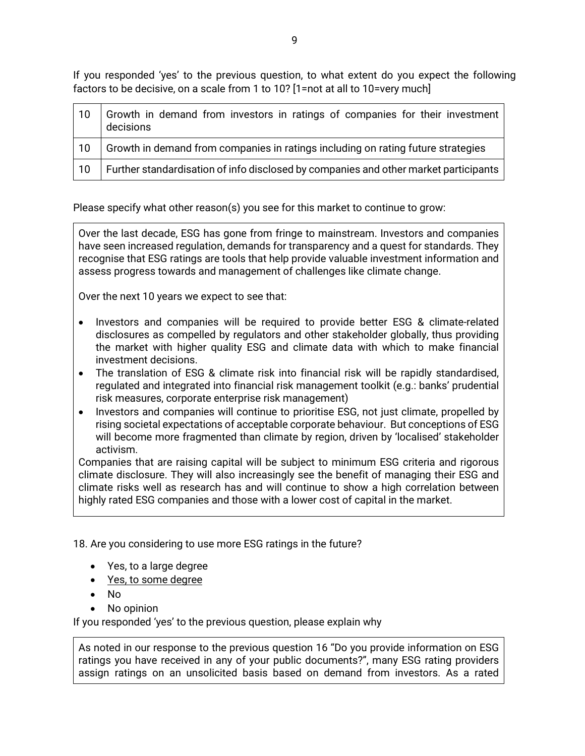If you responded 'yes' to the previous question, to what extent do you expect the following factors to be decisive, on a scale from 1 to 10? [1=not at all to 10=very much]

| 10 | Growth in demand from investors in ratings of companies for their investment<br>decisions |
|----|-------------------------------------------------------------------------------------------|
| 10 | Growth in demand from companies in ratings including on rating future strategies          |
| 10 | Further standardisation of info disclosed by companies and other market participants      |

Please specify what other reason(s) you see for this market to continue to grow:

Over the last decade, ESG has gone from fringe to mainstream. Investors and companies have seen increased regulation, demands for transparency and a quest for standards. They recognise that ESG ratings are tools that help provide valuable investment information and assess progress towards and management of challenges like climate change.

Over the next 10 years we expect to see that:

- Investors and companies will be required to provide better ESG & climate-related disclosures as compelled by regulators and other stakeholder globally, thus providing the market with higher quality ESG and climate data with which to make financial investment decisions.
- The translation of ESG & climate risk into financial risk will be rapidly standardised, regulated and integrated into financial risk management toolkit (e.g.: banks' prudential risk measures, corporate enterprise risk management)
- Investors and companies will continue to prioritise ESG, not just climate, propelled by rising societal expectations of acceptable corporate behaviour. But conceptions of ESG will become more fragmented than climate by region, driven by 'localised' stakeholder activism.

Companies that are raising capital will be subject to minimum ESG criteria and rigorous climate disclosure. They will also increasingly see the benefit of managing their ESG and climate risks well as research has and will continue to show a high correlation between highly rated ESG companies and those with a lower cost of capital in the market.

18. Are you considering to use more ESG ratings in the future?

- Yes, to a large degree
- Yes, to some degree
- No
- No opinion

If you responded 'yes' to the previous question, please explain why

As noted in our response to the previous question 16 "Do you provide information on ESG ratings you have received in any of your public documents?", many ESG rating providers assign ratings on an unsolicited basis based on demand from investors. As a rated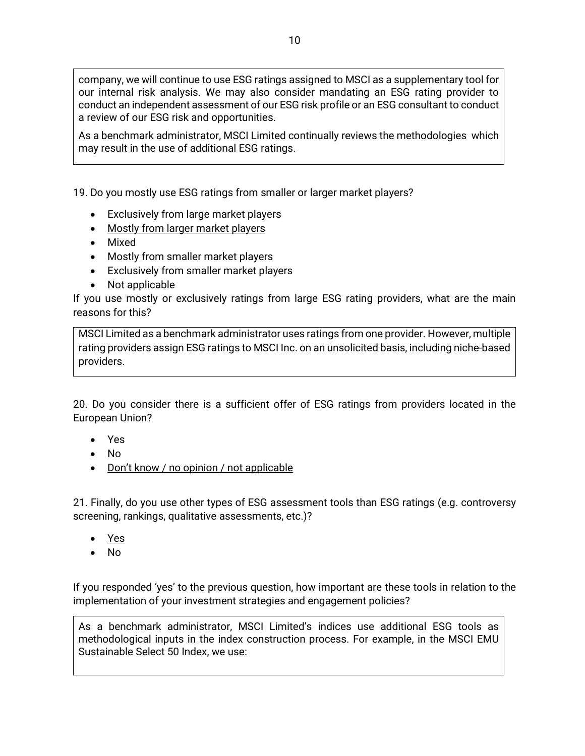company, we will continue to use ESG ratings assigned to MSCI as a supplementary tool for our internal risk analysis. We may also consider mandating an ESG rating provider to conduct an independent assessment of our ESG risk profile or an ESG consultant to conduct a review of our ESG risk and opportunities.

As a benchmark administrator, MSCI Limited continually reviews the methodologies which may result in the use of additional ESG ratings.

19. Do you mostly use ESG ratings from smaller or larger market players?

- Exclusively from large market players
- Mostly from larger market players
- Mixed
- Mostly from smaller market players
- Exclusively from smaller market players
- Not applicable

If you use mostly or exclusively ratings from large ESG rating providers, what are the main reasons for this?

MSCI Limited as a benchmark administrator uses ratings from one provider. However, multiple rating providers assign ESG ratings to MSCI Inc. on an unsolicited basis, including niche-based providers.

20. Do you consider there is a sufficient offer of ESG ratings from providers located in the European Union?

- Yes
- No
- Don't know / no opinion / not applicable

21. Finally, do you use other types of ESG assessment tools than ESG ratings (e.g. controversy screening, rankings, qualitative assessments, etc.)?

- Yes
- No

If you responded 'yes' to the previous question, how important are these tools in relation to the implementation of your investment strategies and engagement policies?

As a benchmark administrator, MSCI Limited's indices use additional ESG tools as methodological inputs in the index construction process. For example, in the MSCI EMU Sustainable Select 50 Index, we use: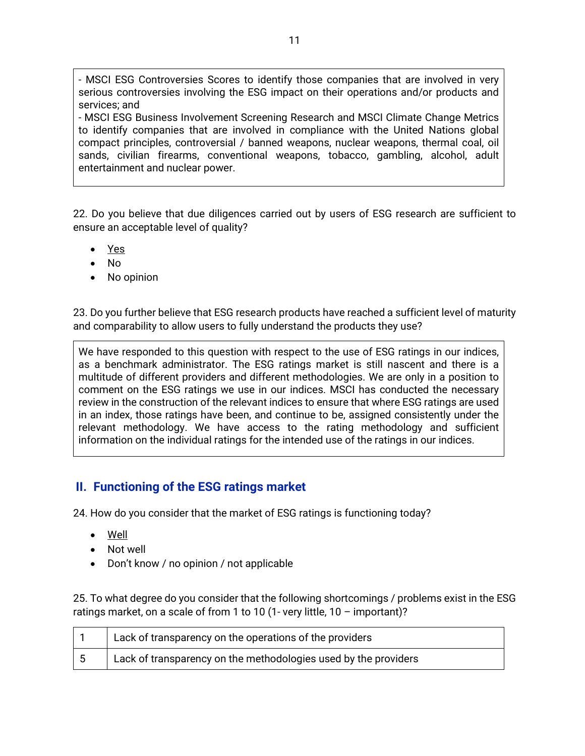- MSCI ESG Controversies Scores to identify those companies that are involved in very serious controversies involving the ESG impact on their operations and/or products and services; and

- MSCI ESG Business Involvement Screening Research and MSCI Climate Change Metrics to identify companies that are involved in compliance with the United Nations global compact principles, controversial / banned weapons, nuclear weapons, thermal coal, oil sands, civilian firearms, conventional weapons, tobacco, gambling, alcohol, adult entertainment and nuclear power.

22. Do you believe that due diligences carried out by users of ESG research are sufficient to ensure an acceptable level of quality?

- Yes
- No
- No opinion

23. Do you further believe that ESG research products have reached a sufficient level of maturity and comparability to allow users to fully understand the products they use?

We have responded to this question with respect to the use of ESG ratings in our indices, as a benchmark administrator. The ESG ratings market is still nascent and there is a multitude of different providers and different methodologies. We are only in a position to comment on the ESG ratings we use in our indices. MSCI has conducted the necessary review in the construction of the relevant indices to ensure that where ESG ratings are used in an index, those ratings have been, and continue to be, assigned consistently under the relevant methodology. We have access to the rating methodology and sufficient information on the individual ratings for the intended use of the ratings in our indices.

# **II. Functioning of the ESG ratings market**

24. How do you consider that the market of ESG ratings is functioning today?

- Well
- Not well
- Don't know / no opinion / not applicable

25. To what degree do you consider that the following shortcomings / problems exist in the ESG ratings market, on a scale of from 1 to 10 (1- very little, 10 – important)?

| Lack of transparency on the operations of the providers         |
|-----------------------------------------------------------------|
| Lack of transparency on the methodologies used by the providers |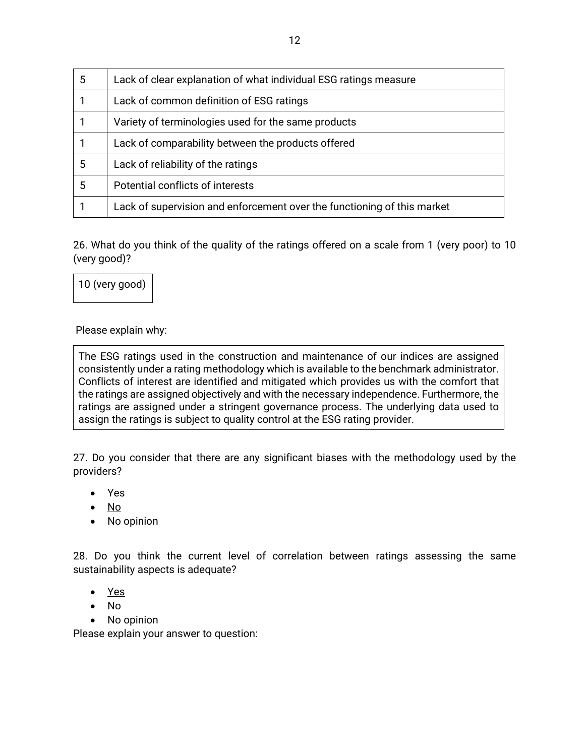| 5 | Lack of clear explanation of what individual ESG ratings measure        |
|---|-------------------------------------------------------------------------|
|   | Lack of common definition of ESG ratings                                |
|   | Variety of terminologies used for the same products                     |
|   | Lack of comparability between the products offered                      |
| 5 | Lack of reliability of the ratings                                      |
| 5 | Potential conflicts of interests                                        |
|   | Lack of supervision and enforcement over the functioning of this market |

26. What do you think of the quality of the ratings offered on a scale from 1 (very poor) to 10 (very good)?

10 (very good)

Please explain why:

The ESG ratings used in the construction and maintenance of our indices are assigned consistently under a rating methodology which is available to the benchmark administrator. Conflicts of interest are identified and mitigated which provides us with the comfort that the ratings are assigned objectively and with the necessary independence. Furthermore, the ratings are assigned under a stringent governance process. The underlying data used to assign the ratings is subject to quality control at the ESG rating provider.

27. Do you consider that there are any significant biases with the methodology used by the providers?

- Yes
- $\bullet$  No
- No opinion

28. Do you think the current level of correlation between ratings assessing the same sustainability aspects is adequate?

- Yes
- No
- No opinion

Please explain your answer to question: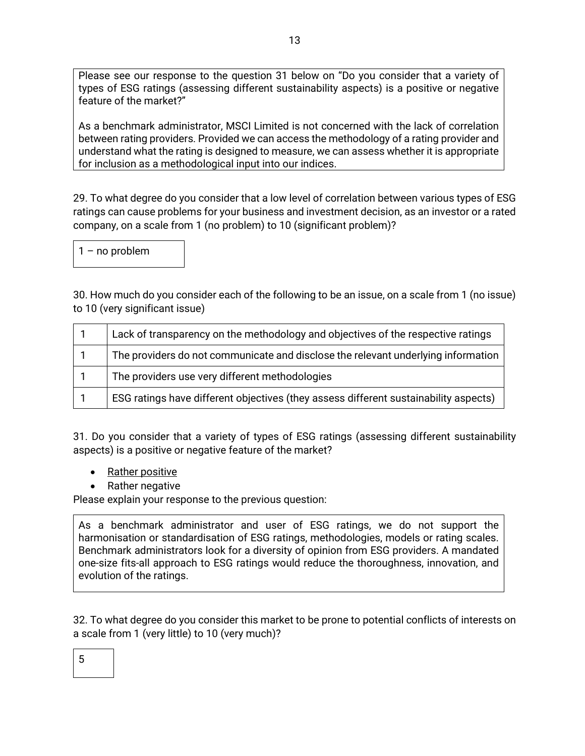Please see our response to the question 31 below on "Do you consider that a variety of types of ESG ratings (assessing different sustainability aspects) is a positive or negative feature of the market?"

As a benchmark administrator, MSCI Limited is not concerned with the lack of correlation between rating providers. Provided we can access the methodology of a rating provider and understand what the rating is designed to measure, we can assess whether it is appropriate for inclusion as a methodological input into our indices.

29. To what degree do you consider that a low level of correlation between various types of ESG ratings can cause problems for your business and investment decision, as an investor or a rated company, on a scale from 1 (no problem) to 10 (significant problem)?

1 – no problem

30. How much do you consider each of the following to be an issue, on a scale from 1 (no issue) to 10 (very significant issue)

| Lack of transparency on the methodology and objectives of the respective ratings     |
|--------------------------------------------------------------------------------------|
| The providers do not communicate and disclose the relevant underlying information    |
| The providers use very different methodologies                                       |
| ESG ratings have different objectives (they assess different sustainability aspects) |

31. Do you consider that a variety of types of ESG ratings (assessing different sustainability aspects) is a positive or negative feature of the market?

- Rather positive
- Rather negative

Please explain your response to the previous question:

As a benchmark administrator and user of ESG ratings, we do not support the harmonisation or standardisation of ESG ratings, methodologies, models or rating scales. Benchmark administrators look for a diversity of opinion from ESG providers. A mandated one-size fits-all approach to ESG ratings would reduce the thoroughness, innovation, and evolution of the ratings.

32. To what degree do you consider this market to be prone to potential conflicts of interests on a scale from 1 (very little) to 10 (very much)?

| × | ŕ<br>۰. |  |
|---|---------|--|
|   |         |  |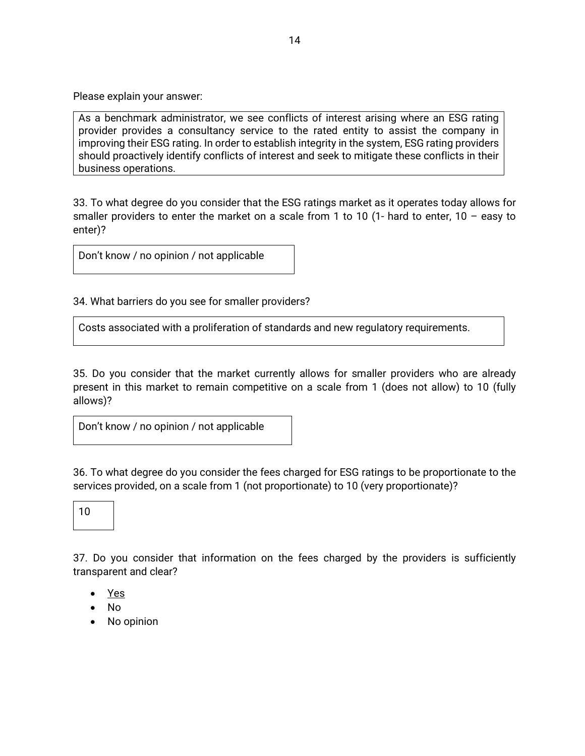Please explain your answer:

As a benchmark administrator, we see conflicts of interest arising where an ESG rating provider provides a consultancy service to the rated entity to assist the company in improving their ESG rating. In order to establish integrity in the system, ESG rating providers should proactively identify conflicts of interest and seek to mitigate these conflicts in their business operations.

33. To what degree do you consider that the ESG ratings market as it operates today allows for smaller providers to enter the market on a scale from 1 to 10 (1- hard to enter,  $10 - e$  asy to enter)?

Don't know / no opinion / not applicable

34. What barriers do you see for smaller providers?

Costs associated with a proliferation of standards and new regulatory requirements.

35. Do you consider that the market currently allows for smaller providers who are already present in this market to remain competitive on a scale from 1 (does not allow) to 10 (fully allows)?

Don't know / no opinion / not applicable

36. To what degree do you consider the fees charged for ESG ratings to be proportionate to the services provided, on a scale from 1 (not proportionate) to 10 (very proportionate)?

10

37. Do you consider that information on the fees charged by the providers is sufficiently transparent and clear?

- Yes
- No
- No opinion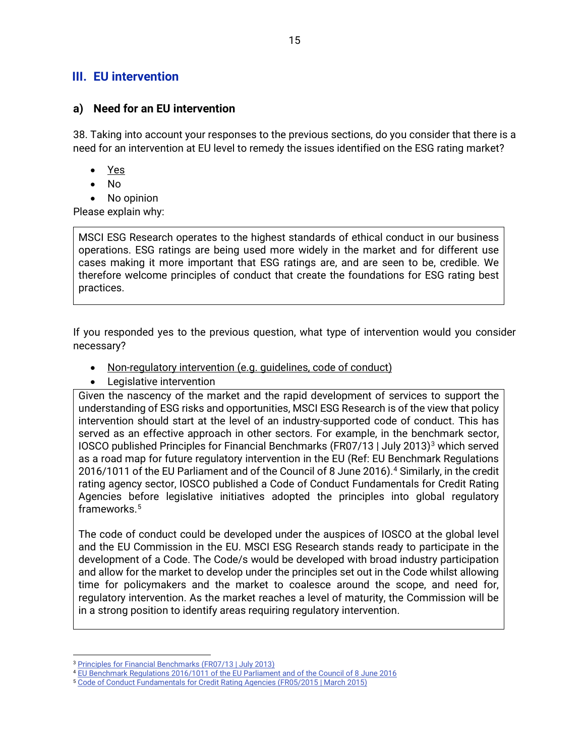## **III. EU intervention**

### **a) Need for an EU intervention**

38. Taking into account your responses to the previous sections, do you consider that there is a need for an intervention at EU level to remedy the issues identified on the ESG rating market?

- Yes
- No
- No opinion

Please explain why:

MSCI ESG Research operates to the highest standards of ethical conduct in our business operations. ESG ratings are being used more widely in the market and for different use cases making it more important that ESG ratings are, and are seen to be, credible. We therefore welcome principles of conduct that create the foundations for ESG rating best practices.

If you responded yes to the previous question, what type of intervention would you consider necessary?

- Non-regulatory intervention (e.g. guidelines, code of conduct)
- Legislative intervention

Given the nascency of the market and the rapid development of services to support the understanding of ESG risks and opportunities, MSCI ESG Research is of the view that policy intervention should start at the level of an industry-supported code of conduct. This has served as an effective approach in other sectors. For example, in the benchmark sector, IOSCO published Principles for Financial Benchmarks (FR07/1[3](#page-14-0) | July 2013)<sup>3</sup> which served as a road map for future regulatory intervention in the EU (Ref: EU Benchmark Regulations 2016/1011 of the EU Parliament and of the Council of 8 June 2016).<sup>[4](#page-14-1)</sup> Similarly, in the credit rating agency sector, IOSCO published a Code of Conduct Fundamentals for Credit Rating Agencies before legislative initiatives adopted the principles into global regulatory frameworks. $^5\,$  $^5\,$  $^5\,$ 

The code of conduct could be developed under the auspices of IOSCO at the global level and the EU Commission in the EU. MSCI ESG Research stands ready to participate in the development of a Code. The Code/s would be developed with broad industry participation and allow for the market to develop under the principles set out in the Code whilst allowing time for policymakers and the market to coalesce around the scope, and need for, regulatory intervention. As the market reaches a level of maturity, the Commission will be in a strong position to identify areas requiring regulatory intervention.

<sup>3</sup> [Principles for Financial Benchmarks \(FR07/13 | July 2013\)](https://www.iosco.org/library/pubdocs/pdf/IOSCOPD415.pdf)

<span id="page-14-1"></span><span id="page-14-0"></span><sup>4</sup> [EU Benchmark Regulations 2016/1011 of the EU Parliament and of the Council of 8 June 2016](https://eur-lex.europa.eu/legal-content/EN/TXT/PDF/?uri=CELEX:32016R1011&from=en)

<span id="page-14-2"></span><sup>5</sup> [Code of Conduct Fundamentals for Credit Rating Agencies \(FR05/2015 | March 2015\)](https://www.iosco.org/library/pubdocs/pdf/IOSCOPD482.pdf)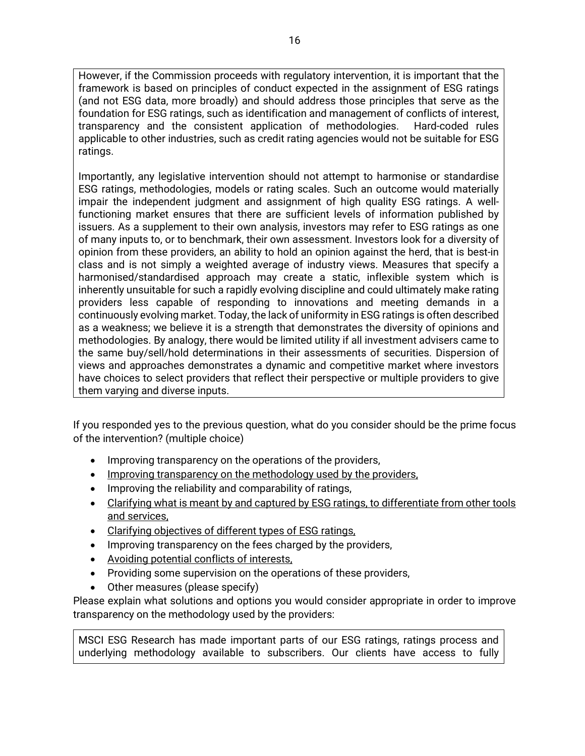However, if the Commission proceeds with regulatory intervention, it is important that the framework is based on principles of conduct expected in the assignment of ESG ratings (and not ESG data, more broadly) and should address those principles that serve as the foundation for ESG ratings, such as identification and management of conflicts of interest, transparency and the consistent application of methodologies. Hard-coded rules applicable to other industries, such as credit rating agencies would not be suitable for ESG ratings.

Importantly, any legislative intervention should not attempt to harmonise or standardise ESG ratings, methodologies, models or rating scales. Such an outcome would materially impair the independent judgment and assignment of high quality ESG ratings. A wellfunctioning market ensures that there are sufficient levels of information published by issuers. As a supplement to their own analysis, investors may refer to ESG ratings as one of many inputs to, or to benchmark, their own assessment. Investors look for a diversity of opinion from these providers, an ability to hold an opinion against the herd, that is best-in class and is not simply a weighted average of industry views. Measures that specify a harmonised/standardised approach may create a static, inflexible system which is inherently unsuitable for such a rapidly evolving discipline and could ultimately make rating providers less capable of responding to innovations and meeting demands in a continuously evolving market. Today, the lack of uniformity in ESG ratings is often described as a weakness; we believe it is a strength that demonstrates the diversity of opinions and methodologies. By analogy, there would be limited utility if all investment advisers came to the same buy/sell/hold determinations in their assessments of securities. Dispersion of views and approaches demonstrates a dynamic and competitive market where investors have choices to select providers that reflect their perspective or multiple providers to give them varying and diverse inputs.

If you responded yes to the previous question, what do you consider should be the prime focus of the intervention? (multiple choice)

- Improving transparency on the operations of the providers,
- Improving transparency on the methodology used by the providers,
- Improving the reliability and comparability of ratings,
- Clarifying what is meant by and captured by ESG ratings, to differentiate from other tools and services,
- Clarifying objectives of different types of ESG ratings,
- Improving transparency on the fees charged by the providers,
- Avoiding potential conflicts of interests,
- Providing some supervision on the operations of these providers,
- Other measures (please specify)

Please explain what solutions and options you would consider appropriate in order to improve transparency on the methodology used by the providers:

MSCI ESG Research has made important parts of our ESG ratings, ratings process and underlying methodology available to subscribers. Our clients have access to fully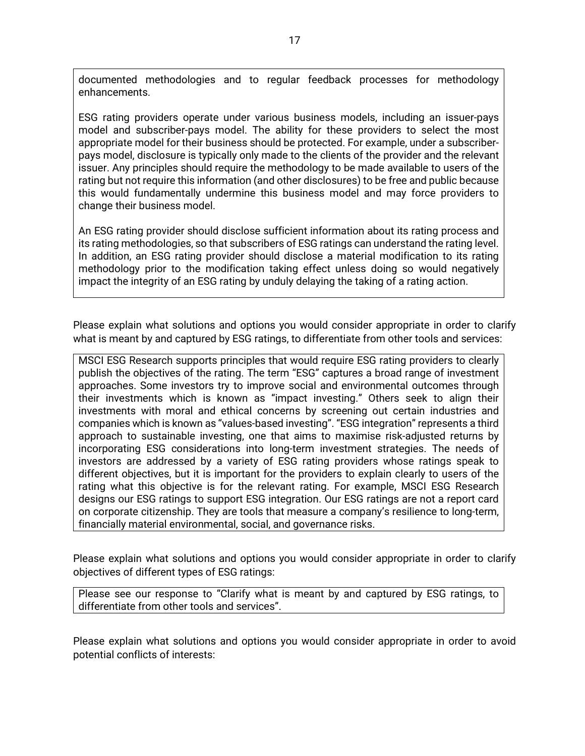documented methodologies and to regular feedback processes for methodology enhancements.

ESG rating providers operate under various business models, including an issuer-pays model and subscriber-pays model. The ability for these providers to select the most appropriate model for their business should be protected. For example, under a subscriberpays model, disclosure is typically only made to the clients of the provider and the relevant issuer. Any principles should require the methodology to be made available to users of the rating but not require this information (and other disclosures) to be free and public because this would fundamentally undermine this business model and may force providers to change their business model.

An ESG rating provider should disclose sufficient information about its rating process and its rating methodologies, so that subscribers of ESG ratings can understand the rating level. In addition, an ESG rating provider should disclose a material modification to its rating methodology prior to the modification taking effect unless doing so would negatively impact the integrity of an ESG rating by unduly delaying the taking of a rating action.

Please explain what solutions and options you would consider appropriate in order to clarify what is meant by and captured by ESG ratings, to differentiate from other tools and services:

MSCI ESG Research supports principles that would require ESG rating providers to clearly publish the objectives of the rating. The term "ESG" captures a broad range of investment approaches. Some investors try to improve social and environmental outcomes through their investments which is known as "impact investing." Others seek to align their investments with moral and ethical concerns by screening out certain industries and companies which is known as "values-based investing". "ESG integration" represents a third approach to sustainable investing, one that aims to maximise risk-adjusted returns by incorporating ESG considerations into long-term investment strategies. The needs of investors are addressed by a variety of ESG rating providers whose ratings speak to different objectives, but it is important for the providers to explain clearly to users of the rating what this objective is for the relevant rating. For example, MSCI ESG Research designs our ESG ratings to support ESG integration. Our ESG ratings are not a report card on corporate citizenship. They are tools that measure a company's resilience to long-term, financially material environmental, social, and governance risks.

Please explain what solutions and options you would consider appropriate in order to clarify objectives of different types of ESG ratings:

Please see our response to "Clarify what is meant by and captured by ESG ratings, to differentiate from other tools and services".

Please explain what solutions and options you would consider appropriate in order to avoid potential conflicts of interests: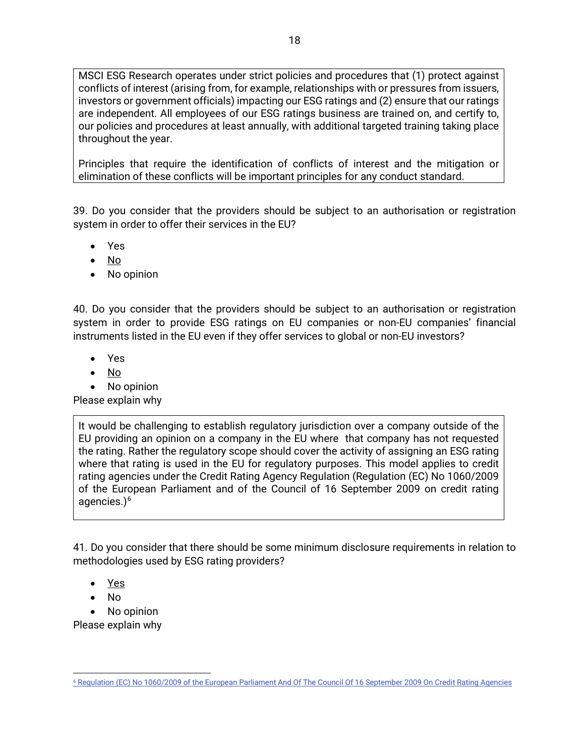MSCI ESG Research operates under strict policies and procedures that (1) protect against conflicts of interest (arising from, for example, relationships with or pressures from issuers, investors or government officials) impacting our ESG ratings and (2) ensure that our ratings are independent. All employees of our ESG ratings business are trained on, and certify to, our policies and procedures at least annually, with additional targeted training taking place throughout the year.

Principles that require the identification of conflicts of interest and the mitigation or elimination of these conflicts will be important principles for any conduct standard.

39. Do you consider that the providers should be subject to an authorisation or registration system in order to offer their services in the EU?

- Yes
- $\bullet$  No
- No opinion

40. Do you consider that the providers should be subject to an authorisation or registration system in order to provide ESG ratings on EU companies or non-EU companies' financial instruments listed in the EU even if they offer services to global or non-EU investors?

- Yes
- No
- No opinion

Please explain why

It would be challenging to establish regulatory jurisdiction over a company outside of the EU providing an opinion on a company in the EU where that company has not requested the rating. Rather the regulatory scope should cover the activity of assigning an ESG rating where that rating is used in the EU for regulatory purposes. This model applies to credit rating agencies under the Credit Rating Agency Regulation (Regulation (EC) No 1060/2009 of the European Parliament and of the Council of 16 September 2009 on credit rating agencies. $)^6$  $)^6$ 

41. Do you consider that there should be some minimum disclosure requirements in relation to methodologies used by ESG rating providers?

- Yes
- No
- No opinion

Please explain why

<span id="page-17-0"></span><sup>6</sup> [Regulation \(EC\) No 1060/2009 of the European Parliament And Of The Council Of 16 September 2009 On Credit Rating Agencies](https://eur-lex.europa.eu/legal-content/EN/TXT/PDF/?uri=CELEX:32009R1060&from=EN)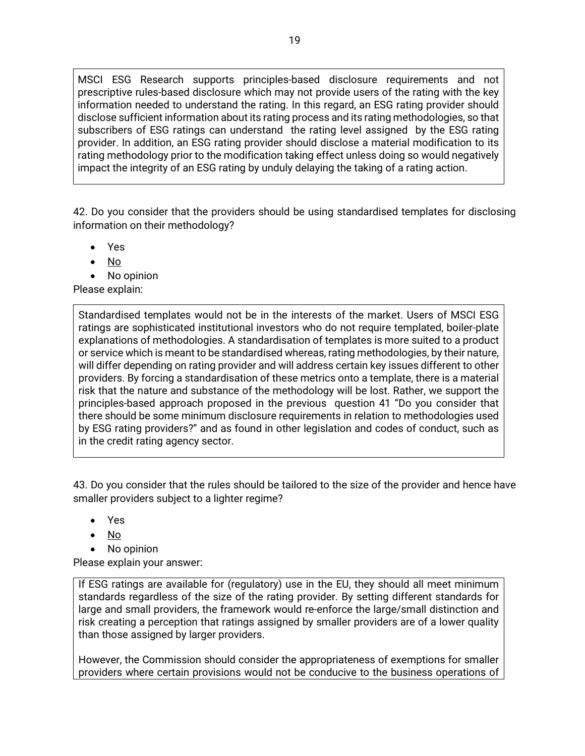MSCI ESG Research supports principles-based disclosure requirements and not prescriptive rules-based disclosure which may not provide users of the rating with the key information needed to understand the rating. In this regard, an ESG rating provider should disclose sufficient information about its rating process and its rating methodologies, so that subscribers of ESG ratings can understand the rating level assigned by the ESG rating provider. In addition, an ESG rating provider should disclose a material modification to its rating methodology prior to the modification taking effect unless doing so would negatively impact the integrity of an ESG rating by unduly delaying the taking of a rating action.

42. Do you consider that the providers should be using standardised templates for disclosing information on their methodology?

- Yes
- No
- No opinion

Please explain:

Standardised templates would not be in the interests of the market. Users of MSCI ESG ratings are sophisticated institutional investors who do not require templated, boiler-plate explanations of methodologies. A standardisation of templates is more suited to a product or service which is meant to be standardised whereas, rating methodologies, by their nature, will differ depending on rating provider and will address certain key issues different to other providers. By forcing a standardisation of these metrics onto a template, there is a material risk that the nature and substance of the methodology will be lost. Rather, we support the principles-based approach proposed in the previous question 41 "Do you consider that there should be some minimum disclosure requirements in relation to methodologies used by ESG rating providers?" and as found in other legislation and codes of conduct, such as in the credit rating agency sector.

43. Do you consider that the rules should be tailored to the size of the provider and hence have smaller providers subject to a lighter regime?

- Yes
- No
- No opinion

Please explain your answer:

If ESG ratings are available for (regulatory) use in the EU, they should all meet minimum standards regardless of the size of the rating provider. By setting different standards for large and small providers, the framework would re-enforce the large/small distinction and risk creating a perception that ratings assigned by smaller providers are of a lower quality than those assigned by larger providers.

However, the Commission should consider the appropriateness of exemptions for smaller providers where certain provisions would not be conducive to the business operations of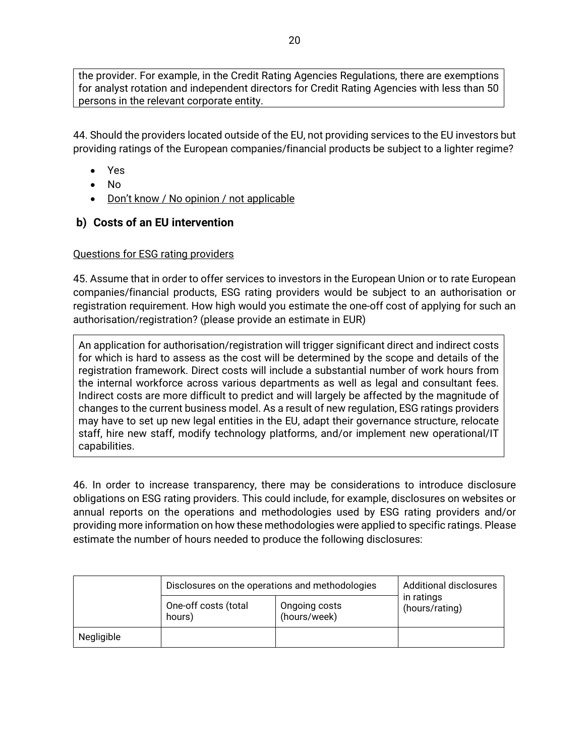the provider. For example, in the Credit Rating Agencies Regulations, there are exemptions for analyst rotation and independent directors for Credit Rating Agencies with less than 50 persons in the relevant corporate entity.

44. Should the providers located outside of the EU, not providing services to the EU investors but providing ratings of the European companies/financial products be subject to a lighter regime?

- Yes
- No
- Don't know / No opinion / not applicable

## **b) Costs of an EU intervention**

## Questions for ESG rating providers

45. Assume that in order to offer services to investors in the European Union or to rate European companies/financial products, ESG rating providers would be subject to an authorisation or registration requirement. How high would you estimate the one-off cost of applying for such an authorisation/registration? (please provide an estimate in EUR)

An application for authorisation/registration will trigger significant direct and indirect costs for which is hard to assess as the cost will be determined by the scope and details of the registration framework. Direct costs will include a substantial number of work hours from the internal workforce across various departments as well as legal and consultant fees. Indirect costs are more difficult to predict and will largely be affected by the magnitude of changes to the current business model. As a result of new regulation, ESG ratings providers may have to set up new legal entities in the EU, adapt their governance structure, relocate staff, hire new staff, modify technology platforms, and/or implement new operational/IT capabilities.

46. In order to increase transparency, there may be considerations to introduce disclosure obligations on ESG rating providers. This could include, for example, disclosures on websites or annual reports on the operations and methodologies used by ESG rating providers and/or providing more information on how these methodologies were applied to specific ratings. Please estimate the number of hours needed to produce the following disclosures:

|            | Disclosures on the operations and methodologies | <b>Additional disclosures</b> |                              |
|------------|-------------------------------------------------|-------------------------------|------------------------------|
|            | One-off costs (total<br>hours)                  | Ongoing costs<br>(hours/week) | in ratings<br>(hours/rating) |
| Negligible |                                                 |                               |                              |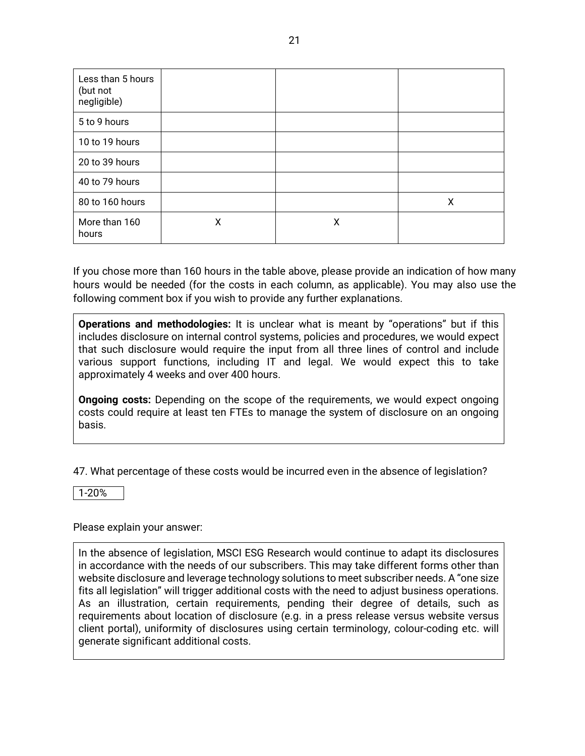| Less than 5 hours<br>(but not<br>negligible) |   |   |   |
|----------------------------------------------|---|---|---|
| 5 to 9 hours                                 |   |   |   |
| 10 to 19 hours                               |   |   |   |
| 20 to 39 hours                               |   |   |   |
| 40 to 79 hours                               |   |   |   |
| 80 to 160 hours                              |   |   | X |
| More than 160<br>hours                       | X | X |   |

If you chose more than 160 hours in the table above, please provide an indication of how many hours would be needed (for the costs in each column, as applicable). You may also use the following comment box if you wish to provide any further explanations.

**Operations and methodologies:** It is unclear what is meant by "operations" but if this includes disclosure on internal control systems, policies and procedures, we would expect that such disclosure would require the input from all three lines of control and include various support functions, including IT and legal. We would expect this to take approximately 4 weeks and over 400 hours.

**Ongoing costs:** Depending on the scope of the requirements, we would expect ongoing costs could require at least ten FTEs to manage the system of disclosure on an ongoing basis.

47. What percentage of these costs would be incurred even in the absence of legislation?

1-20%

Please explain your answer:

In the absence of legislation, MSCI ESG Research would continue to adapt its disclosures in accordance with the needs of our subscribers. This may take different forms other than website disclosure and leverage technology solutions to meet subscriber needs. A "one size fits all legislation" will trigger additional costs with the need to adjust business operations. As an illustration, certain requirements, pending their degree of details, such as requirements about location of disclosure (e.g. in a press release versus website versus client portal), uniformity of disclosures using certain terminology, colour-coding etc. will generate significant additional costs.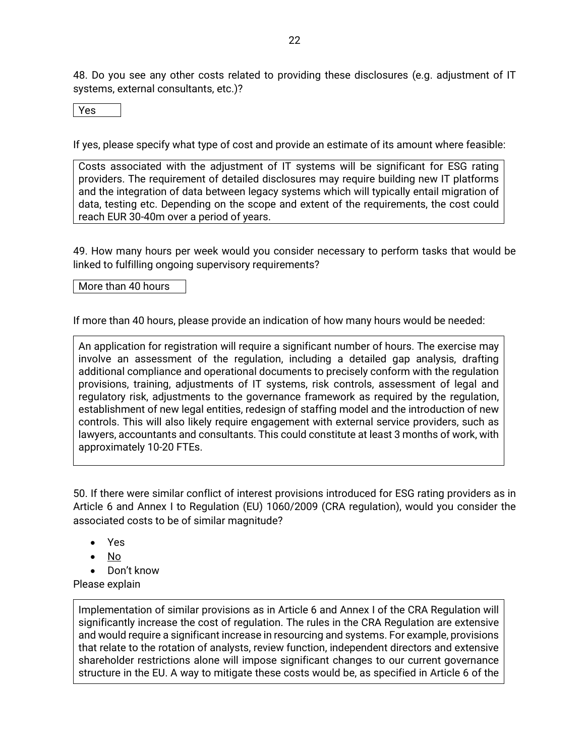48. Do you see any other costs related to providing these disclosures (e.g. adjustment of IT systems, external consultants, etc.)?

Yes

If yes, please specify what type of cost and provide an estimate of its amount where feasible:

Costs associated with the adjustment of IT systems will be significant for ESG rating providers. The requirement of detailed disclosures may require building new IT platforms and the integration of data between legacy systems which will typically entail migration of data, testing etc. Depending on the scope and extent of the requirements, the cost could reach EUR 30-40m over a period of years.

49. How many hours per week would you consider necessary to perform tasks that would be linked to fulfilling ongoing supervisory requirements?

More than 40 hours

If more than 40 hours, please provide an indication of how many hours would be needed:

An application for registration will require a significant number of hours. The exercise may involve an assessment of the regulation, including a detailed gap analysis, drafting additional compliance and operational documents to precisely conform with the regulation provisions, training, adjustments of IT systems, risk controls, assessment of legal and regulatory risk, adjustments to the governance framework as required by the regulation, establishment of new legal entities, redesign of staffing model and the introduction of new controls. This will also likely require engagement with external service providers, such as lawyers, accountants and consultants. This could constitute at least 3 months of work, with approximately 10-20 FTEs.

50. If there were similar conflict of interest provisions introduced for ESG rating providers as in Article 6 and Annex I to Regulation (EU) 1060/2009 (CRA regulation), would you consider the associated costs to be of similar magnitude?

- Yes
- No
- Don't know

Please explain

Implementation of similar provisions as in Article 6 and Annex I of the CRA Regulation will significantly increase the cost of regulation. The rules in the CRA Regulation are extensive and would require a significant increase in resourcing and systems. For example, provisions that relate to the rotation of analysts, review function, independent directors and extensive shareholder restrictions alone will impose significant changes to our current governance structure in the EU. A way to mitigate these costs would be, as specified in Article 6 of the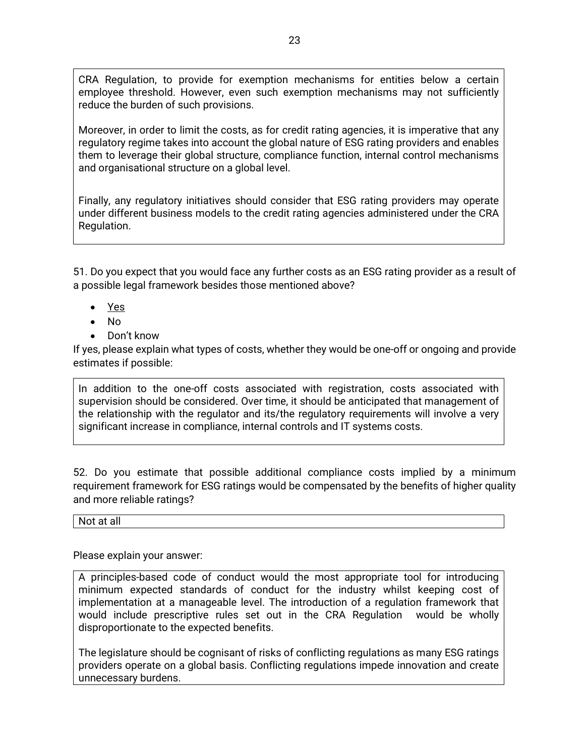CRA Regulation, to provide for exemption mechanisms for entities below a certain employee threshold. However, even such exemption mechanisms may not sufficiently reduce the burden of such provisions.

Moreover, in order to limit the costs, as for credit rating agencies, it is imperative that any regulatory regime takes into account the global nature of ESG rating providers and enables them to leverage their global structure, compliance function, internal control mechanisms and organisational structure on a global level.

Finally, any regulatory initiatives should consider that ESG rating providers may operate under different business models to the credit rating agencies administered under the CRA Regulation.

51. Do you expect that you would face any further costs as an ESG rating provider as a result of a possible legal framework besides those mentioned above?

- Yes
- No
- Don't know

If yes, please explain what types of costs, whether they would be one-off or ongoing and provide estimates if possible:

In addition to the one-off costs associated with registration, costs associated with supervision should be considered. Over time, it should be anticipated that management of the relationship with the regulator and its/the regulatory requirements will involve a very significant increase in compliance, internal controls and IT systems costs.

52. Do you estimate that possible additional compliance costs implied by a minimum requirement framework for ESG ratings would be compensated by the benefits of higher quality and more reliable ratings?

Not at all

Please explain your answer:

A principles-based code of conduct would the most appropriate tool for introducing minimum expected standards of conduct for the industry whilst keeping cost of implementation at a manageable level. The introduction of a regulation framework that would include prescriptive rules set out in the CRA Regulation would be wholly disproportionate to the expected benefits.

The legislature should be cognisant of risks of conflicting regulations as many ESG ratings providers operate on a global basis. Conflicting regulations impede innovation and create unnecessary burdens.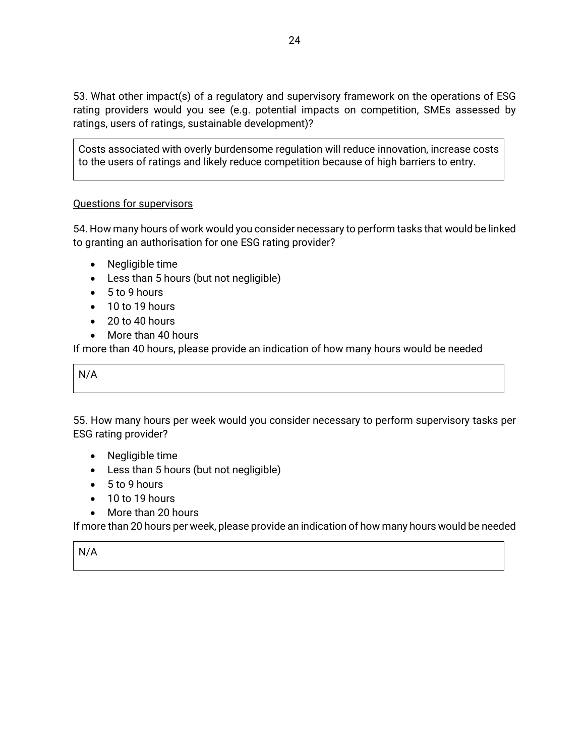53. What other impact(s) of a regulatory and supervisory framework on the operations of ESG rating providers would you see (e.g. potential impacts on competition, SMEs assessed by ratings, users of ratings, sustainable development)?

Costs associated with overly burdensome regulation will reduce innovation, increase costs to the users of ratings and likely reduce competition because of high barriers to entry.

### Questions for supervisors

54. How many hours of work would you consider necessary to perform tasks that would be linked to granting an authorisation for one ESG rating provider?

- Negligible time
- Less than 5 hours (but not negligible)
- 5 to 9 hours
- 10 to 19 hours
- $\bullet$  20 to 40 hours
- More than 40 hours

If more than 40 hours, please provide an indication of how many hours would be needed

N/A

55. How many hours per week would you consider necessary to perform supervisory tasks per ESG rating provider?

- Negligible time
- Less than 5 hours (but not negligible)
- 5 to 9 hours
- 10 to 19 hours
- More than 20 hours

If more than 20 hours per week, please provide an indication of how many hours would be needed

N/A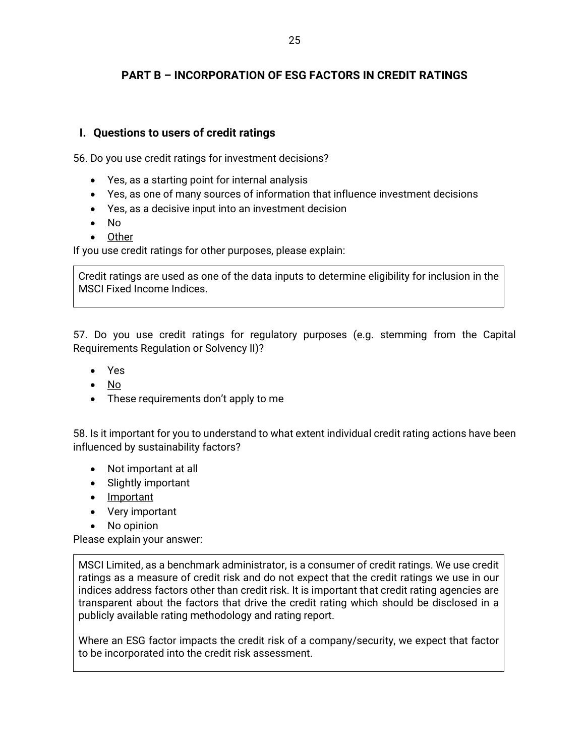## **PART B – INCORPORATION OF ESG FACTORS IN CREDIT RATINGS**

## **I. Questions to users of credit ratings**

56. Do you use credit ratings for investment decisions?

- Yes, as a starting point for internal analysis
- Yes, as one of many sources of information that influence investment decisions
- Yes, as a decisive input into an investment decision
- No
- Other

If you use credit ratings for other purposes, please explain:

Credit ratings are used as one of the data inputs to determine eligibility for inclusion in the MSCI Fixed Income Indices.

57. Do you use credit ratings for regulatory purposes (e.g. stemming from the Capital Requirements Regulation or Solvency II)?

- Yes
- No
- These requirements don't apply to me

58. Is it important for you to understand to what extent individual credit rating actions have been influenced by sustainability factors?

- Not important at all
- Slightly important
- Important
- Very important
- No opinion

Please explain your answer:

MSCI Limited, as a benchmark administrator, is a consumer of credit ratings. We use credit ratings as a measure of credit risk and do not expect that the credit ratings we use in our indices address factors other than credit risk. It is important that credit rating agencies are transparent about the factors that drive the credit rating which should be disclosed in a publicly available rating methodology and rating report.

Where an ESG factor impacts the credit risk of a company/security, we expect that factor to be incorporated into the credit risk assessment.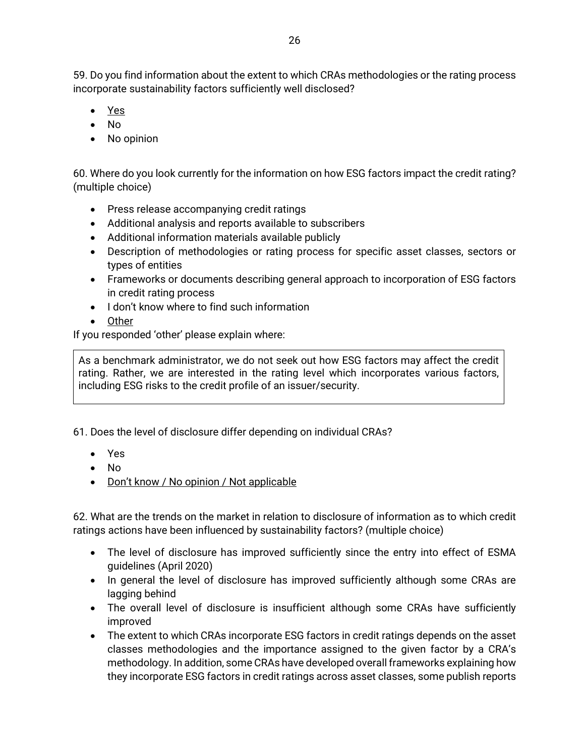59. Do you find information about the extent to which CRAs methodologies or the rating process incorporate sustainability factors sufficiently well disclosed?

- Yes
- No
- No opinion

60. Where do you look currently for the information on how ESG factors impact the credit rating? (multiple choice)

- Press release accompanying credit ratings
- Additional analysis and reports available to subscribers
- Additional information materials available publicly
- Description of methodologies or rating process for specific asset classes, sectors or types of entities
- Frameworks or documents describing general approach to incorporation of ESG factors in credit rating process
- I don't know where to find such information
- Other

If you responded 'other' please explain where:

As a benchmark administrator, we do not seek out how ESG factors may affect the credit rating. Rather, we are interested in the rating level which incorporates various factors, including ESG risks to the credit profile of an issuer/security.

61. Does the level of disclosure differ depending on individual CRAs?

- Yes
- No
- Don't know / No opinion / Not applicable

62. What are the trends on the market in relation to disclosure of information as to which credit ratings actions have been influenced by sustainability factors? (multiple choice)

- The level of disclosure has improved sufficiently since the entry into effect of ESMA guidelines (April 2020)
- In general the level of disclosure has improved sufficiently although some CRAs are lagging behind
- The overall level of disclosure is insufficient although some CRAs have sufficiently improved
- The extent to which CRAs incorporate ESG factors in credit ratings depends on the asset classes methodologies and the importance assigned to the given factor by a CRA's methodology. In addition, some CRAs have developed overall frameworks explaining how they incorporate ESG factors in credit ratings across asset classes, some publish reports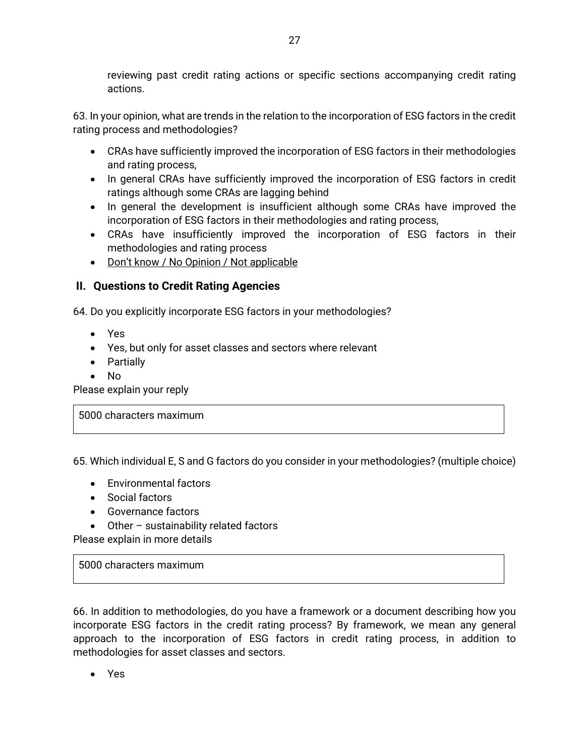reviewing past credit rating actions or specific sections accompanying credit rating actions.

63. In your opinion, what are trends in the relation to the incorporation of ESG factors in the credit rating process and methodologies?

- CRAs have sufficiently improved the incorporation of ESG factors in their methodologies and rating process,
- In general CRAs have sufficiently improved the incorporation of ESG factors in credit ratings although some CRAs are lagging behind
- In general the development is insufficient although some CRAs have improved the incorporation of ESG factors in their methodologies and rating process,
- CRAs have insufficiently improved the incorporation of ESG factors in their methodologies and rating process
- Don't know / No Opinion / Not applicable

## **II. Questions to Credit Rating Agencies**

64. Do you explicitly incorporate ESG factors in your methodologies?

- Yes
- Yes, but only for asset classes and sectors where relevant
- Partially
- No

Please explain your reply

5000 characters maximum

65. Which individual E, S and G factors do you consider in your methodologies? (multiple choice)

- Environmental factors
- Social factors
- Governance factors
- Other sustainability related factors

Please explain in more details

5000 characters maximum

66. In addition to methodologies, do you have a framework or a document describing how you incorporate ESG factors in the credit rating process? By framework, we mean any general approach to the incorporation of ESG factors in credit rating process, in addition to methodologies for asset classes and sectors.

• Yes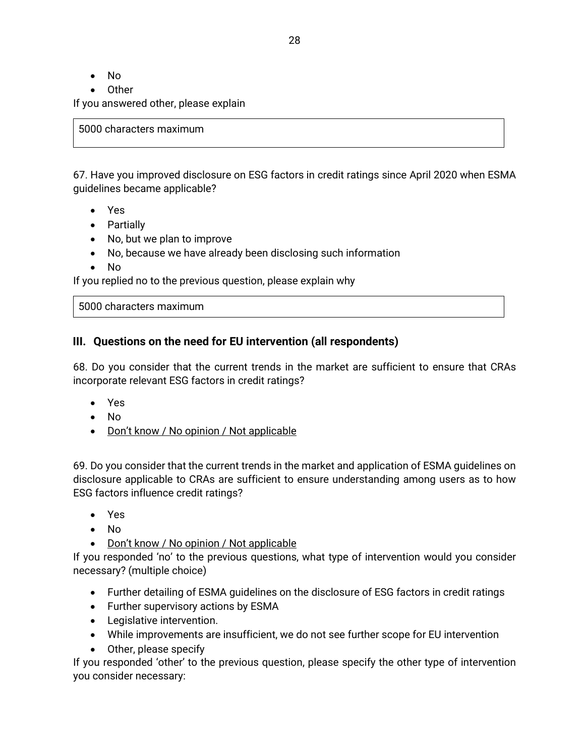- No
- Other

If you answered other, please explain

5000 characters maximum

67. Have you improved disclosure on ESG factors in credit ratings since April 2020 when ESMA guidelines became applicable?

- Yes
- Partially
- No, but we plan to improve
- No, because we have already been disclosing such information
- No

If you replied no to the previous question, please explain why

5000 characters maximum

### **III. Questions on the need for EU intervention (all respondents)**

68. Do you consider that the current trends in the market are sufficient to ensure that CRAs incorporate relevant ESG factors in credit ratings?

- Yes
- No
- Don't know / No opinion / Not applicable

69. Do you consider that the current trends in the market and application of ESMA guidelines on disclosure applicable to CRAs are sufficient to ensure understanding among users as to how ESG factors influence credit ratings?

- Yes
- No
- Don't know / No opinion / Not applicable

If you responded 'no' to the previous questions, what type of intervention would you consider necessary? (multiple choice)

- Further detailing of ESMA guidelines on the disclosure of ESG factors in credit ratings
- Further supervisory actions by ESMA
- Legislative intervention.
- While improvements are insufficient, we do not see further scope for EU intervention
- Other, please specify

If you responded 'other' to the previous question, please specify the other type of intervention you consider necessary: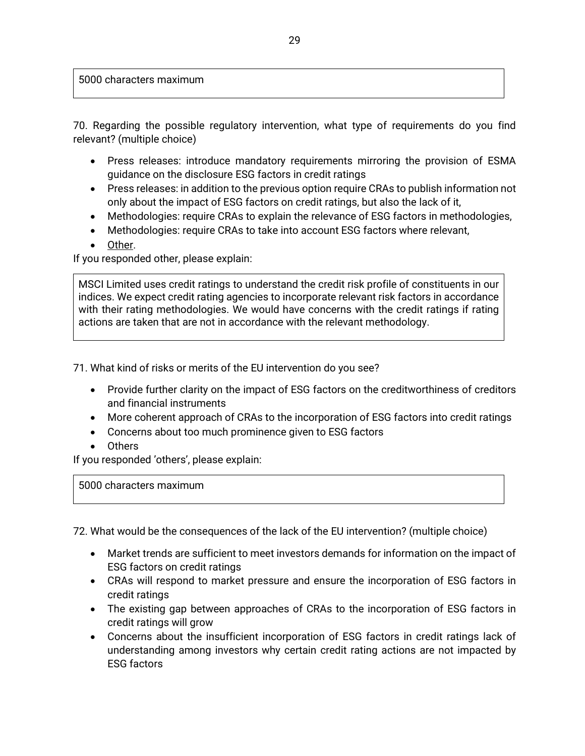5000 characters maximum

70. Regarding the possible regulatory intervention, what type of requirements do you find relevant? (multiple choice)

- Press releases: introduce mandatory requirements mirroring the provision of ESMA guidance on the disclosure ESG factors in credit ratings
- Press releases: in addition to the previous option require CRAs to publish information not only about the impact of ESG factors on credit ratings, but also the lack of it,
- Methodologies: require CRAs to explain the relevance of ESG factors in methodologies,
- Methodologies: require CRAs to take into account ESG factors where relevant,
- Other.

If you responded other, please explain:

MSCI Limited uses credit ratings to understand the credit risk profile of constituents in our indices. We expect credit rating agencies to incorporate relevant risk factors in accordance with their rating methodologies. We would have concerns with the credit ratings if rating actions are taken that are not in accordance with the relevant methodology.

71. What kind of risks or merits of the EU intervention do you see?

- Provide further clarity on the impact of ESG factors on the creditworthiness of creditors and financial instruments
- More coherent approach of CRAs to the incorporation of ESG factors into credit ratings
- Concerns about too much prominence given to ESG factors
- Others

If you responded 'others', please explain:

5000 characters maximum

72. What would be the consequences of the lack of the EU intervention? (multiple choice)

- Market trends are sufficient to meet investors demands for information on the impact of ESG factors on credit ratings
- CRAs will respond to market pressure and ensure the incorporation of ESG factors in credit ratings
- The existing gap between approaches of CRAs to the incorporation of ESG factors in credit ratings will grow
- Concerns about the insufficient incorporation of ESG factors in credit ratings lack of understanding among investors why certain credit rating actions are not impacted by ESG factors